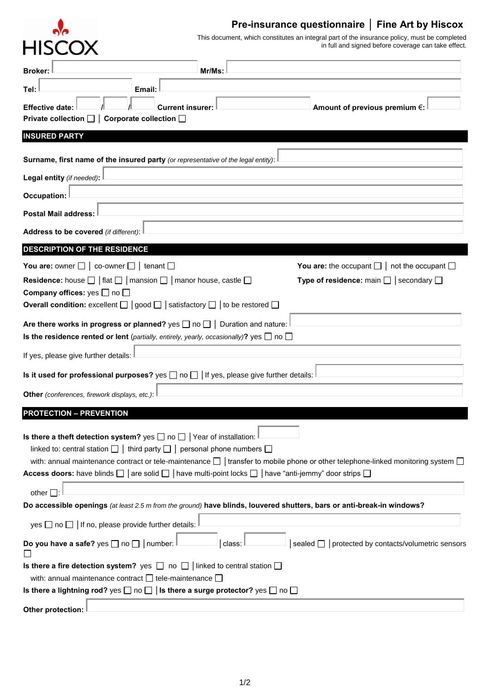

## **Pre-insurance questionnaire** │ **Fine Art by Hiscox**

This document, which constitutes an integral part of the insurance policy, must be completed in full and signed before coverage can take effect.

| Tel:<br>Email:                                                                                                                                                                                                                                                                                                                                                                                                                |  |  |  |  |
|-------------------------------------------------------------------------------------------------------------------------------------------------------------------------------------------------------------------------------------------------------------------------------------------------------------------------------------------------------------------------------------------------------------------------------|--|--|--|--|
| <b>Current insurer:</b><br>Amount of previous premium €:<br><b>Effective date:</b><br>Private collection $\Box$ Corporate collection $\Box$                                                                                                                                                                                                                                                                                   |  |  |  |  |
| <b>INSURED PARTY</b>                                                                                                                                                                                                                                                                                                                                                                                                          |  |  |  |  |
| Surname, first name of the insured party (or representative of the legal entity):                                                                                                                                                                                                                                                                                                                                             |  |  |  |  |
| Legal entity (if needed):                                                                                                                                                                                                                                                                                                                                                                                                     |  |  |  |  |
| <b>Occupation:</b>                                                                                                                                                                                                                                                                                                                                                                                                            |  |  |  |  |
| <b>Postal Mail address:</b>                                                                                                                                                                                                                                                                                                                                                                                                   |  |  |  |  |
| Address to be covered (if different):                                                                                                                                                                                                                                                                                                                                                                                         |  |  |  |  |
| DESCRIPTION OF THE RESIDENCE                                                                                                                                                                                                                                                                                                                                                                                                  |  |  |  |  |
| You are: owner $\Box$ $\vert$ co-owner $\Box$ $\vert$ tenant $\Box$<br>You are: the occupant $\Box$   not the occupant $\Box$                                                                                                                                                                                                                                                                                                 |  |  |  |  |
| <b>Residence:</b> house $\Box$   flat $\Box$   mansion $\Box$   manor house, castle $\Box$<br>Type of residence: main $\Box$ secondary $\Box$                                                                                                                                                                                                                                                                                 |  |  |  |  |
| Company offices: yes $\Box$ no $\Box$<br><b>Overall condition:</b> excellent $\Box$   good $\Box$   satisfactory $\Box$   to be restored $\Box$                                                                                                                                                                                                                                                                               |  |  |  |  |
| Are there works in progress or planned? yes $\Box$ no $\Box$ Duration and nature:<br><b>Is the residence rented or lent</b> (partially, entirely, yearly, occasionally)? yes $\Box$ no $\Box$                                                                                                                                                                                                                                 |  |  |  |  |
| If yes, please give further details:                                                                                                                                                                                                                                                                                                                                                                                          |  |  |  |  |
| Is it used for professional purposes? yes $\Box$ no $\Box$ If yes, please give further details:                                                                                                                                                                                                                                                                                                                               |  |  |  |  |
| Other (conferences, firework displays, etc.):                                                                                                                                                                                                                                                                                                                                                                                 |  |  |  |  |
| <b>PROTECTION - PREVENTION</b>                                                                                                                                                                                                                                                                                                                                                                                                |  |  |  |  |
| Is there a theft detection system? yes $\Box$ no $\Box$ Year of installation:<br>linked to: central station $\Box$   third party $\Box$   personal phone numbers $\Box$<br>with: annual maintenance contract or tele-maintenance $\Box$ transfer to mobile phone or other telephone-linked monitoring system $\Box$<br>Access doors: have blinds □   are solid □   have multi-point locks □   have "anti-jemmy" door strips □ |  |  |  |  |
| other $\square$                                                                                                                                                                                                                                                                                                                                                                                                               |  |  |  |  |
| Do accessible openings (at least 2.5 m from the ground) have blinds, louvered shutters, bars or anti-break-in windows?                                                                                                                                                                                                                                                                                                        |  |  |  |  |
| yes $\Box$ no $\Box$ If no, please provide further details:                                                                                                                                                                                                                                                                                                                                                                   |  |  |  |  |
| sealed □   protected by contacts/volumetric sensors<br>Do you have a safe? yes $\Box$ no $\Box$   number:<br>class:                                                                                                                                                                                                                                                                                                           |  |  |  |  |
| <b>Is there a fire detection system?</b> yes $\Box$ no $\Box$ linked to central station $\Box$                                                                                                                                                                                                                                                                                                                                |  |  |  |  |
| with: annual maintenance contract $\Box$ tele-maintenance $\Box$                                                                                                                                                                                                                                                                                                                                                              |  |  |  |  |
| Is there a lightning rod? $\mathsf{yes} \ \Box$ no $\Box \ \vert$ Is there a surge protector? $\mathsf{yes} \ \Box$ no $\Box$                                                                                                                                                                                                                                                                                                 |  |  |  |  |